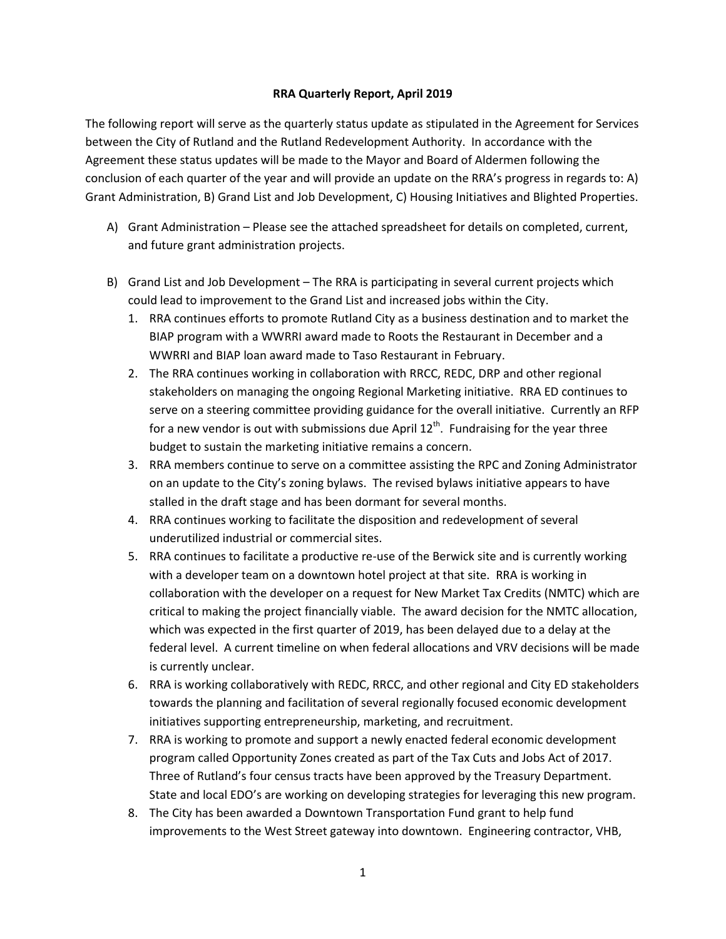## **RRA Quarterly Report, April 2019**

The following report will serve as the quarterly status update as stipulated in the Agreement for Services between the City of Rutland and the Rutland Redevelopment Authority. In accordance with the Agreement these status updates will be made to the Mayor and Board of Aldermen following the conclusion of each quarter of the year and will provide an update on the RRA's progress in regards to: A) Grant Administration, B) Grand List and Job Development, C) Housing Initiatives and Blighted Properties.

- A) Grant Administration Please see the attached spreadsheet for details on completed, current, and future grant administration projects.
- B) Grand List and Job Development The RRA is participating in several current projects which could lead to improvement to the Grand List and increased jobs within the City.
	- 1. RRA continues efforts to promote Rutland City as a business destination and to market the BIAP program with a WWRRI award made to Roots the Restaurant in December and a WWRRI and BIAP loan award made to Taso Restaurant in February.
	- 2. The RRA continues working in collaboration with RRCC, REDC, DRP and other regional stakeholders on managing the ongoing Regional Marketing initiative. RRA ED continues to serve on a steering committee providing guidance for the overall initiative. Currently an RFP for a new vendor is out with submissions due April  $12<sup>th</sup>$ . Fundraising for the year three budget to sustain the marketing initiative remains a concern.
	- 3. RRA members continue to serve on a committee assisting the RPC and Zoning Administrator on an update to the City's zoning bylaws. The revised bylaws initiative appears to have stalled in the draft stage and has been dormant for several months.
	- 4. RRA continues working to facilitate the disposition and redevelopment of several underutilized industrial or commercial sites.
	- 5. RRA continues to facilitate a productive re-use of the Berwick site and is currently working with a developer team on a downtown hotel project at that site. RRA is working in collaboration with the developer on a request for New Market Tax Credits (NMTC) which are critical to making the project financially viable. The award decision for the NMTC allocation, which was expected in the first quarter of 2019, has been delayed due to a delay at the federal level. A current timeline on when federal allocations and VRV decisions will be made is currently unclear.
	- 6. RRA is working collaboratively with REDC, RRCC, and other regional and City ED stakeholders towards the planning and facilitation of several regionally focused economic development initiatives supporting entrepreneurship, marketing, and recruitment.
	- 7. RRA is working to promote and support a newly enacted federal economic development program called Opportunity Zones created as part of the Tax Cuts and Jobs Act of 2017. Three of Rutland's four census tracts have been approved by the Treasury Department. State and local EDO's are working on developing strategies for leveraging this new program.
	- 8. The City has been awarded a Downtown Transportation Fund grant to help fund improvements to the West Street gateway into downtown. Engineering contractor, VHB,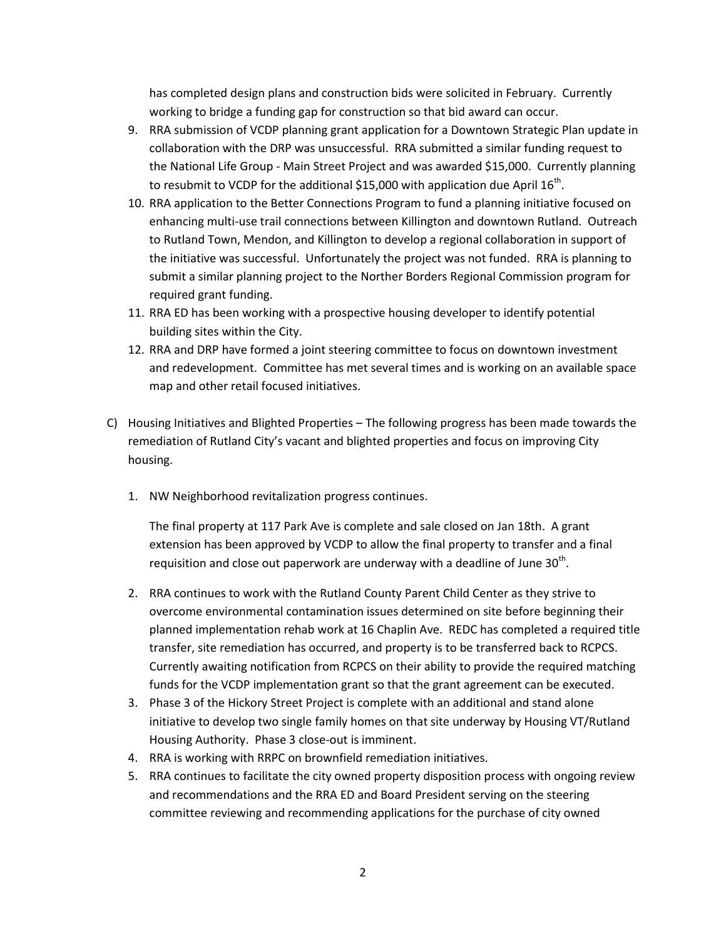has completed design plans and construction bids were solicited in February. Currently working to bridge a funding gap for construction so that bid award can occur.

- 9. RRA submission of VCDP planning grant application for a Downtown Strategic Plan update in collaboration with the DRP was unsuccessful. RRA submitted a similar funding request to the National Life Group - Main Street Project and was awarded \$15,000. Currently planning to resubmit to VCDP for the additional \$15,000 with application due April 16<sup>th</sup>.
- 10. RRA application to the Better Connections Program to fund a planning initiative focused on enhancing multi-use trail connections between Killington and downtown Rutland. Outreach to Rutland Town, Mendon, and Killington to develop a regional collaboration in support of the initiative was successful. Unfortunately the project was not funded. RRA is planning to submit a similar planning project to the Norther Borders Regional Commission program for required grant funding.
- 11. RRA ED has been working with a prospective housing developer to identify potential building sites within the City.
- 12. RRA and DRP have formed a joint steering committee to focus on downtown investment and redevelopment. Committee has met several times and is working on an available space map and other retail focused initiatives.
- C) Housing Initiatives and Blighted Properties The following progress has been made towards the remediation of Rutland City's vacant and blighted properties and focus on improving City housing.
	- 1. NW Neighborhood revitalization progress continues.

The final property at 117 Park Ave is complete and sale closed on Jan 18th. A grant extension has been approved by VCDP to allow the final property to transfer and a final requisition and close out paperwork are underway with a deadline of June 30<sup>th</sup>.

- 2. RRA continues to work with the Rutland County Parent Child Center as they strive to overcome environmental contamination issues determined on site before beginning their planned implementation rehab work at 16 Chaplin Ave. REDC has completed a required title transfer, site remediation has occurred, and property is to be transferred back to RCPCS. Currently awaiting notification from RCPCS on their ability to provide the required matching funds for the VCDP implementation grant so that the grant agreement can be executed.
- 3. Phase 3 of the Hickory Street Project is complete with an additional and stand alone initiative to develop two single family homes on that site underway by Housing VT/Rutland Housing Authority. Phase 3 close-out is imminent.
- 4. RRA is working with RRPC on brownfield remediation initiatives.
- 5. RRA continues to facilitate the city owned property disposition process with ongoing review and recommendations and the RRA ED and Board President serving on the steering committee reviewing and recommending applications for the purchase of city owned